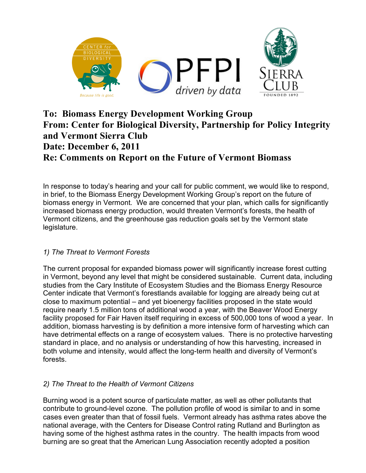

## **To: Biomass Energy Development Working Group From: Center for Biological Diversity, Partnership for Policy Integrity and Vermont Sierra Club Date: December 6, 2011 Re: Comments on Report on the Future of Vermont Biomass**

In response to today's hearing and your call for public comment, we would like to respond, in brief, to the Biomass Energy Development Working Group's report on the future of biomass energy in Vermont. We are concerned that your plan, which calls for significantly increased biomass energy production, would threaten Vermont's forests, the health of Vermont citizens, and the greenhouse gas reduction goals set by the Vermont state legislature.

## *1) The Threat to Vermont Forests*

The current proposal for expanded biomass power will significantly increase forest cutting in Vermont, beyond any level that might be considered sustainable. Current data, including studies from the Cary Institute of Ecosystem Studies and the Biomass Energy Resource Center indicate that Vermont's forestlands available for logging are already being cut at close to maximum potential – and yet bioenergy facilities proposed in the state would require nearly 1.5 million tons of additional wood a year, with the Beaver Wood Energy facility proposed for Fair Haven itself requiring in excess of 500,000 tons of wood a year. In addition, biomass harvesting is by definition a more intensive form of harvesting which can have detrimental effects on a range of ecosystem values. There is no protective harvesting standard in place, and no analysis or understanding of how this harvesting, increased in both volume and intensity, would affect the long-term health and diversity of Vermont's forests.

## *2) The Threat to the Health of Vermont Citizens*

Burning wood is a potent source of particulate matter, as well as other pollutants that contribute to ground-level ozone. The pollution profile of wood is similar to and in some cases even greater than that of fossil fuels. Vermont already has asthma rates above the national average, with the Centers for Disease Control rating Rutland and Burlington as having some of the highest asthma rates in the country. The health impacts from wood burning are so great that the American Lung Association recently adopted a position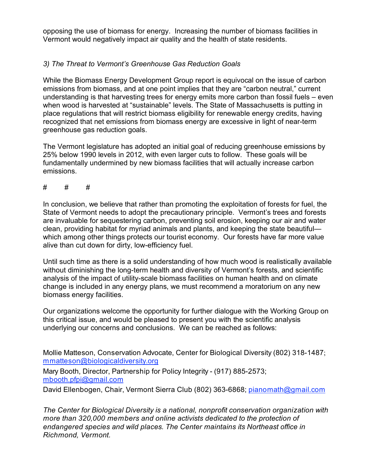opposing the use of biomass for energy. Increasing the number of biomass facilities in Vermont would negatively impact air quality and the health of state residents.

## *3) The Threat to Vermont's Greenhouse Gas Reduction Goals*

While the Biomass Energy Development Group report is equivocal on the issue of carbon emissions from biomass, and at one point implies that they are "carbon neutral," current understanding is that harvesting trees for energy emits more carbon than fossil fuels – even when wood is harvested at "sustainable" levels. The State of Massachusetts is putting in place regulations that will restrict biomass eligibility for renewable energy credits, having recognized that net emissions from biomass energy are excessive in light of near-term greenhouse gas reduction goals.

The Vermont legislature has adopted an initial goal of reducing greenhouse emissions by 25% below 1990 levels in 2012, with even larger cuts to follow. These goals will be fundamentally undermined by new biomass facilities that will actually increase carbon emissions.

# # #

In conclusion, we believe that rather than promoting the exploitation of forests for fuel, the State of Vermont needs to adopt the precautionary principle. Vermont's trees and forests are invaluable for sequestering carbon, preventing soil erosion, keeping our air and water clean, providing habitat for myriad animals and plants, and keeping the state beautiful which among other things protects our tourist economy. Our forests have far more value alive than cut down for dirty, low-efficiency fuel.

Until such time as there is a solid understanding of how much wood is realistically available without diminishing the long-term health and diversity of Vermont's forests, and scientific analysis of the impact of utility-scale biomass facilities on human health and on climate change is included in any energy plans, we must recommend a moratorium on any new biomass energy facilities.

Our organizations welcome the opportunity for further dialogue with the Working Group on this critical issue, and would be pleased to present you with the scientific analysis underlying our concerns and conclusions. We can be reached as follows:

Mollie Matteson, Conservation Advocate, Center for Biological Diversity (802) 318-1487; mmatteson@biologicaldiversity.org

Mary Booth, Director, Partnership for Policy Integrity - (917) 885-2573; mbooth.pfpi@gmail.com

David Ellenbogen, Chair, Vermont Sierra Club (802) 363-6868; pianomath@gmail.com

*The Center for Biological Diversity is a national, nonprofit conservation organization with more than 320,000 members and online activists dedicated to the protection of endangered species and wild places. The Center maintains its Northeast office in Richmond, Vermont.*